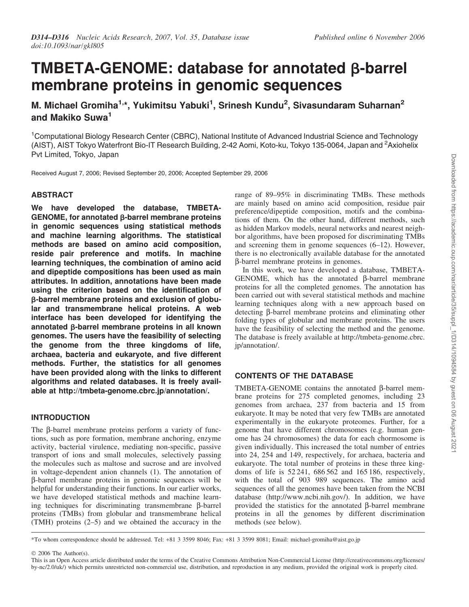# TMBETA-GENOME: database for annotated  $\beta$ -barrel membrane proteins in genomic sequences

M. Michael Gromiha<sup>1,\*</sup>, Yukimitsu Yabuki<sup>1</sup>, Srinesh Kundu<sup>2</sup>, Sivasundaram Suharnan<sup>2</sup> and Makiko Suwa<sup>1</sup>

<sup>1</sup>Computational Biology Research Center (CBRC), National Institute of Advanced Industrial Science and Technology (AIST), AIST Tokyo Waterfront Bio-IT Research Building, 2-42 Aomi, Koto-ku, Tokyo 135-0064, Japan and <sup>2</sup>Axiohelix Pvt Limited, Tokyo, Japan

Received August 7, 2006; Revised September 20, 2006; Accepted September 29, 2006

## ABSTRACT

We have developed the database, TMBETA- $GENOME$ , for annotated  $\beta$ -barrel membrane proteins in genomic sequences using statistical methods and machine learning algorithms. The statistical methods are based on amino acid composition, reside pair preference and motifs. In machine learning techniques, the combination of amino acid and dipeptide compositions has been used as main attributes. In addition, annotations have been made using the criterion based on the identification of b-barrel membrane proteins and exclusion of globular and transmembrane helical proteins. A web interface has been developed for identifying the annotated  $\beta$ -barrel membrane proteins in all known genomes. The users have the feasibility of selecting the genome from the three kingdoms of life, archaea, bacteria and eukaryote, and five different methods. Further, the statistics for all genomes have been provided along with the links to different algorithms and related databases. It is freely available at http://tmbeta-genome.cbrc.jp/annotation/.

# INTRODUCTION

The  $\beta$ -barrel membrane proteins perform a variety of functions, such as pore formation, membrane anchoring, enzyme activity, bacterial virulence, mediating non-specific, passive transport of ions and small molecules, selectively passing the molecules such as maltose and sucrose and are involved in voltage-dependent anion channels (1). The annotation of b-barrel membrane proteins in genomic sequences will be helpful for understanding their functions. In our earlier works, we have developed statistical methods and machine learning techniques for discriminating transmembrane  $\beta$ -barrel proteins (TMBs) from globular and transmembrane helical (TMH) proteins (2–5) and we obtained the accuracy in the

range of 89–95% in discriminating TMBs. These methods are mainly based on amino acid composition, residue pair preference/dipeptide composition, motifs and the combinations of them. On the other hand, different methods, such as hidden Markov models, neural networks and nearest neighbor algorithms, have been proposed for discriminating TMBs and screening them in genome sequences (6–12). However, there is no electronically available database for the annotated b-barrel membrane proteins in genomes.

In this work, we have developed a database, TMBETA-GENOME, which has the annotated  $\beta$ -barrel membrane proteins for all the completed genomes. The annotation has been carried out with several statistical methods and machine learning techniques along with a new approach based on detecting β-barrel membrane proteins and eliminating other folding types of globular and membrane proteins. The users have the feasibility of selecting the method and the genome. The database is freely available at http://tmbeta-genome.cbrc. jp/annotation/.

# CONTENTS OF THE DATABASE

TMBETA-GENOME contains the annotated  $\beta$ -barrel membrane proteins for 275 completed genomes, including 23 genomes from archaea, 237 from bacteria and 15 from eukaryote. It may be noted that very few TMBs are annotated experimentally in the eukaryote proteomes. Further, for a genome that have different chromosomes (e.g. human genome has 24 chromosomes) the data for each chormosome is given individually. This increased the total number of entries into 24, 254 and 149, respectively, for archaea, bacteria and eukaryote. The total number of proteins in these three kingdoms of life is 52 241, 686 562 and 165 186, respectively, with the total of 903 989 sequences. The amino acid sequences of all the genomes have been taken from the NCBI database (http://www.ncbi.nih.gov/). In addition, we have provided the statistics for the annotated  $\beta$ -barrel membrane proteins in all the genomes by different discrimination methods (see below).

\*To whom correspondence should be addressed. Tel: +81 3 3599 8046; Fax: +81 3 3599 8081; Email: michael-gromiha@aist.go.jp

2006 The Author(s).

This is an Open Access article distributed under the terms of the Creative Commons Attribution Non-Commercial License (http://creativecommons.org/licenses/ by-nc/2.0/uk/) which permits unrestricted non-commercial use, distribution, and reproduction in any medium, provided the original work is properly cited.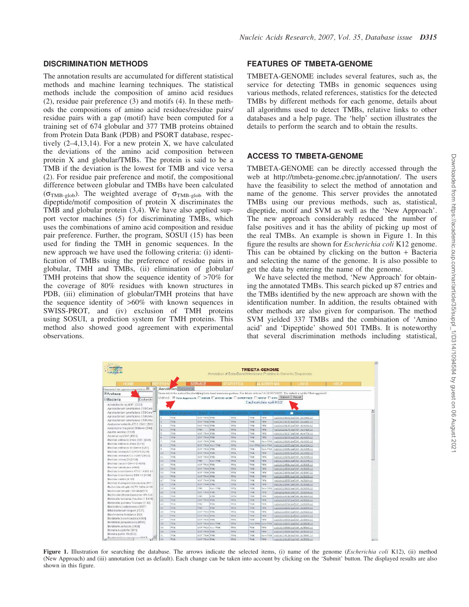The annotation results are accumulated for different statistical methods and machine learning techniques. The statistical methods include the composition of amino acid residues (2), residue pair preference (3) and motifs (4). In these methods the compositions of amino acid residues/residue pairs/ residue pairs with a gap (motif) have been computed for a training set of 674 globular and 377 TMB proteins obtained from Protein Data Bank (PDB) and PSORT database, respectively (2–4,13,14). For a new protein X, we have calculated the deviations of the amino acid composition between protein X and globular/TMBs. The protein is said to be a TMB if the deviation is the lowest for TMB and vice versa (2). For residue pair preference and motif, the compositional difference between globular and TMBs have been calculated  $(\sigma_{\text{TMB-glob}})$ . The weighted average of  $\sigma_{\text{TMB-glob}}$  with the dipeptide/motif composition of protein X discriminates the TMB and globular protein (3,4). We have also applied support vector machines (5) for discriminating TMBs, which uses the combinations of amino acid composition and residue pair preference. Further, the program, SOSUI (15) has been used for finding the TMH in genomic sequences. In the new approach we have used the following criteria: (i) identification of TMBs using the preference of residue pairs in globular, TMH and TMBs, (ii) elimination of globular/ TMH proteins that show the sequence identity of >70% for the coverage of 80% residues with known structures in PDB, (iii) elimination of globular/TMH proteins that have the sequence identity of >60% with known sequences in SWISS-PROT, and (iv) exclusion of TMH proteins using SOSUI, a prediction system for TMH proteins. This method also showed good agreement with experimental observations.

## FEATURES OF TMBETA-GENOME

TMBETA-GENOME includes several features, such as, the service for detecting TMBs in genomic sequences using various methods, related references, statistics for the detected TMBs by different methods for each genome, details about all algorithms used to detect TMBs, relative links to other databases and a help page. The 'help' section illustrates the details to perform the search and to obtain the results.

# ACCESS TO TMBETA-GENOME

TMBETA-GENOME can be directly accessed through the web at http://tmbeta-genome.cbrc.jp/annotation/. The users have the feasibility to select the method of annotation and name of the genome. This server provides the annotated TMBs using our previous methods, such as, statistical, dipeptide, motif and SVM as well as the 'New Approach'. The new approach considerably reduced the number of false positives and it has the ability of picking up most of the real TMBs. An example is shown in Figure 1. In this figure the results are shown for *Escherichia coli* K12 genome. This can be obtained by clicking on the button  $+$  Bacteria and selecting the name of the genome. It is also possible to get the data by entering the name of the genome.

We have selected the method, 'New Approach' for obtaining the annotated TMBs. This search picked up 87 entries and the TMBs identified by the new approach are shown with the identification number. In addition, the results obtained with other methods are also given for comparison. The method SVM yielded 337 TMBs and the combination of 'Amino acid' and 'Dipeptide' showed 501 TMBs. It is noteworthy that several discrimination methods including statistical,



Figure 1. Illustration for searching the database. The arrows indicate the selected items, (i) name of the genome (*Escherichia coli* K12), (ii) method (New Approach) and (iii) annotation (set as default). Each change can be taken into account by clicking on the 'Submit' button. The displayed results are also shown in this figure.